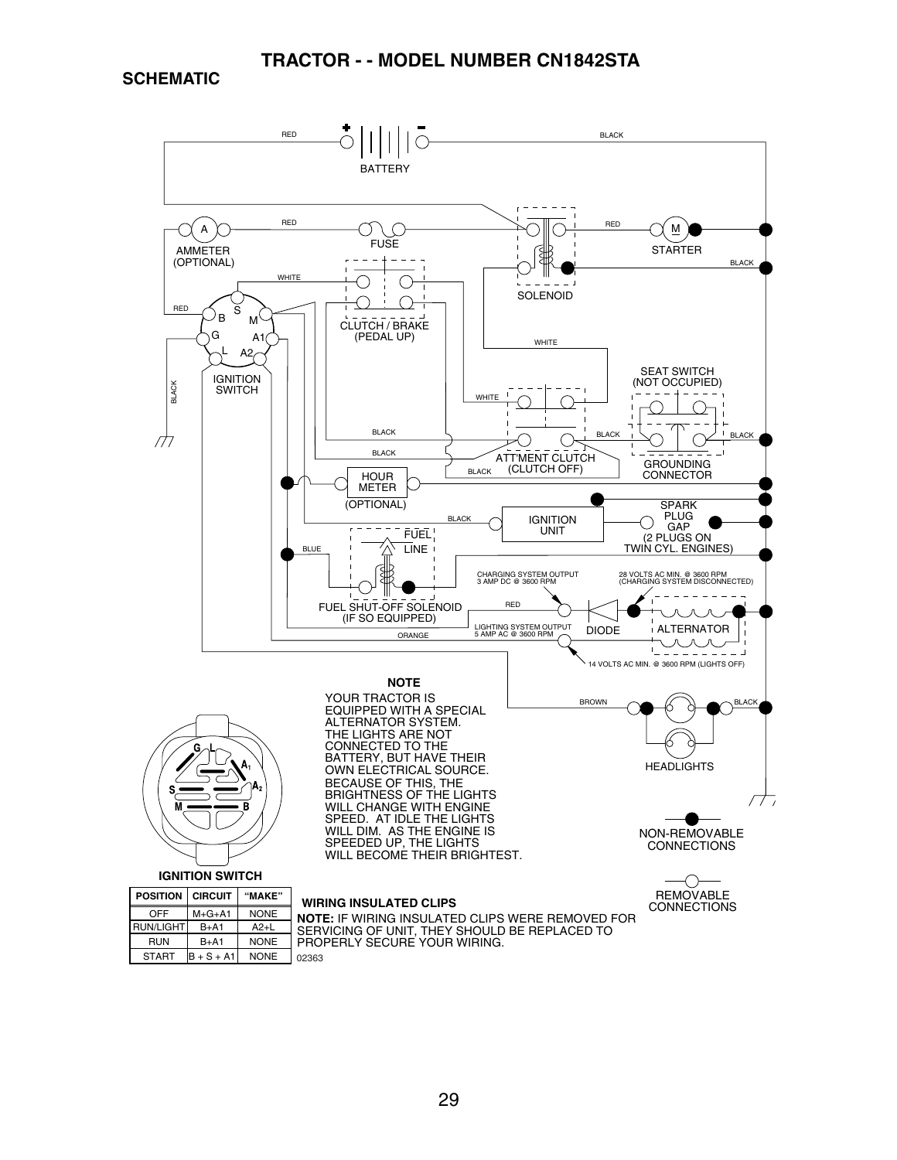**SCHEMATIC**

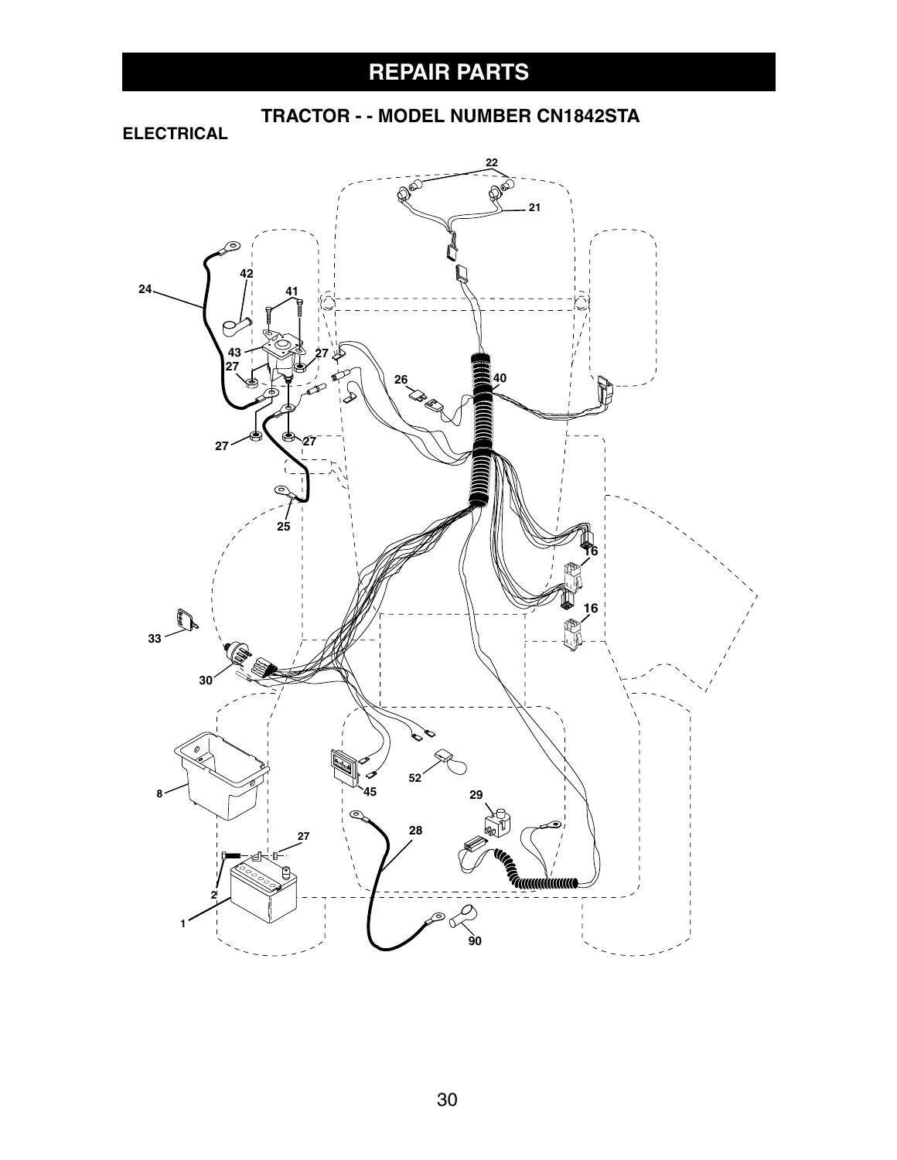# **REPAIR PARTS**

 **TRACTOR - - MODEL NUMBER CN1842STA**

**ELECTRICAL**

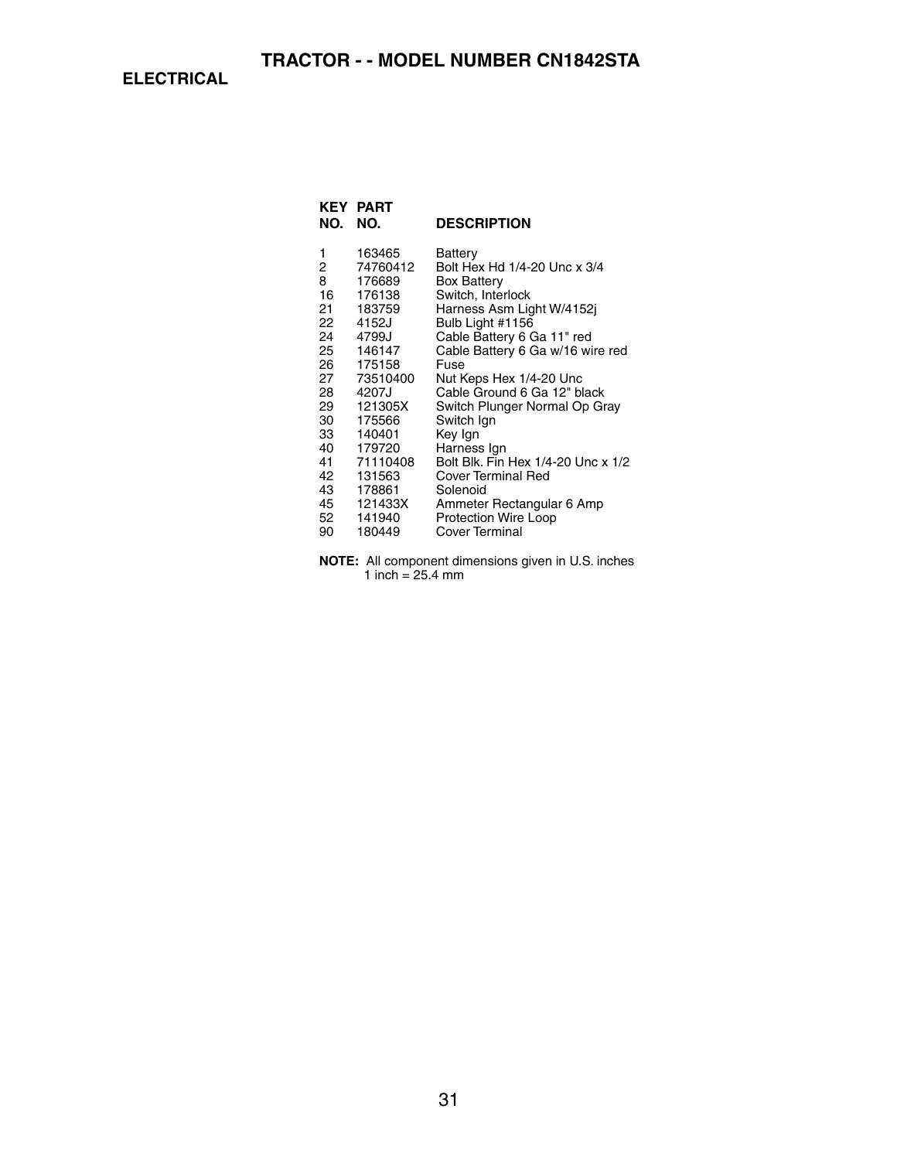**ELECTRICAL**

| NO. | <b>KEY PART</b><br>NO. | <b>DESCRIPTION</b>                 |
|-----|------------------------|------------------------------------|
| 1   | 163465                 | Battery                            |
| 2   | 74760412               | Bolt Hex Hd 1/4-20 Unc x 3/4       |
| 8   | 176689                 | <b>Box Battery</b>                 |
| 16  | 176138                 | Switch, Interlock                  |
| 21  | 183759                 | Harness Asm Light W/4152j          |
| 22  | 4152J                  | Bulb Light #1156                   |
| 24  | 4799J                  | Cable Battery 6 Ga 11" red         |
| 25  | 146147                 | Cable Battery 6 Ga w/16 wire red   |
| 26  | 175158                 | Fuse                               |
| 27  | 73510400               | Nut Keps Hex 1/4-20 Unc            |
| 28  | 4207J                  | Cable Ground 6 Ga 12" black        |
| 29  | 121305X                | Switch Plunger Normal Op Gray      |
| 30  | 175566                 | Switch Ign                         |
| 33  | 140401                 | Key Ign                            |
| 40  | 179720                 | Harness Ign                        |
| 41  | 71110408               | Bolt Blk. Fin Hex 1/4-20 Unc x 1/2 |
| 42  | 131563                 | <b>Cover Terminal Red</b>          |
| 43  | 178861                 | Solenoid                           |
| 45  | 121433X                | Ammeter Rectangular 6 Amp          |
| 52  | 141940                 | <b>Protection Wire Loop</b>        |
| 90  | 180449                 | Cover Terminal                     |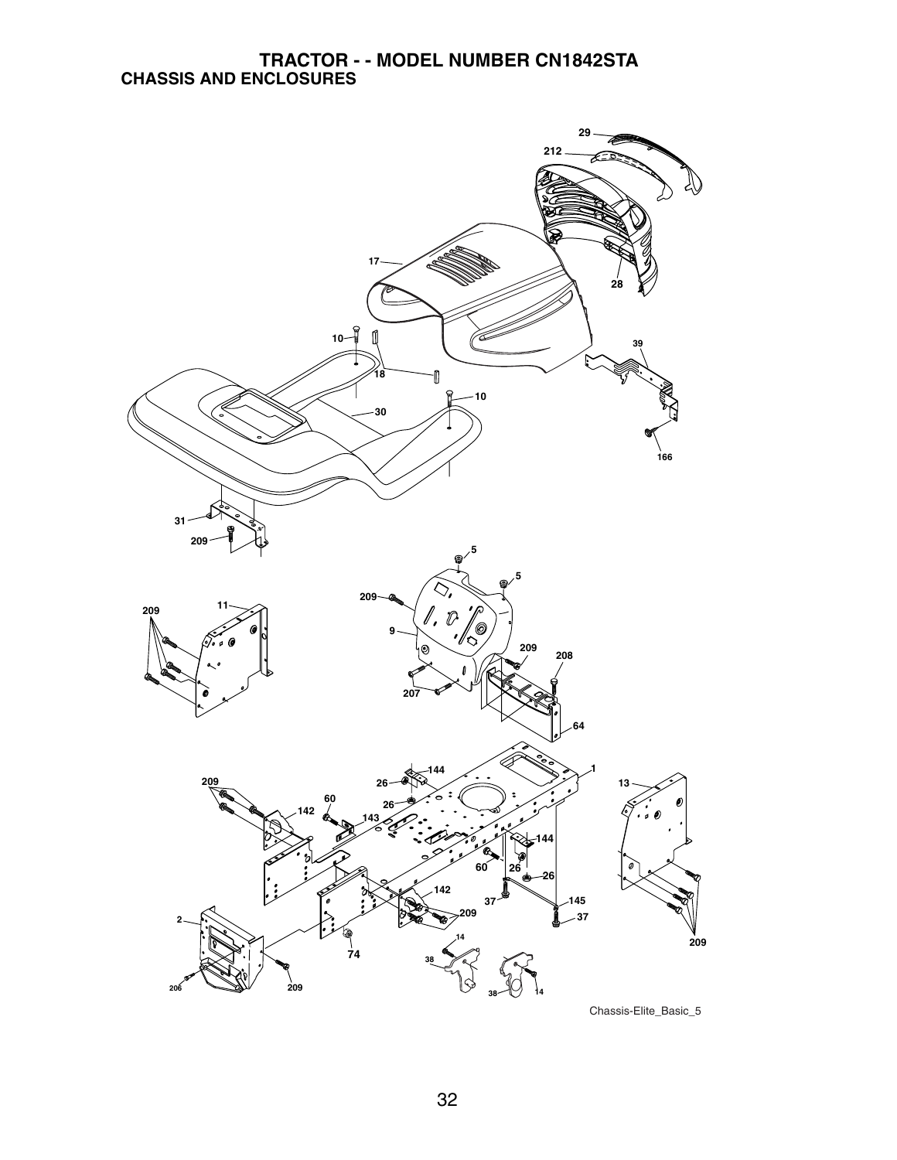

Chassis-Elite\_Basic\_5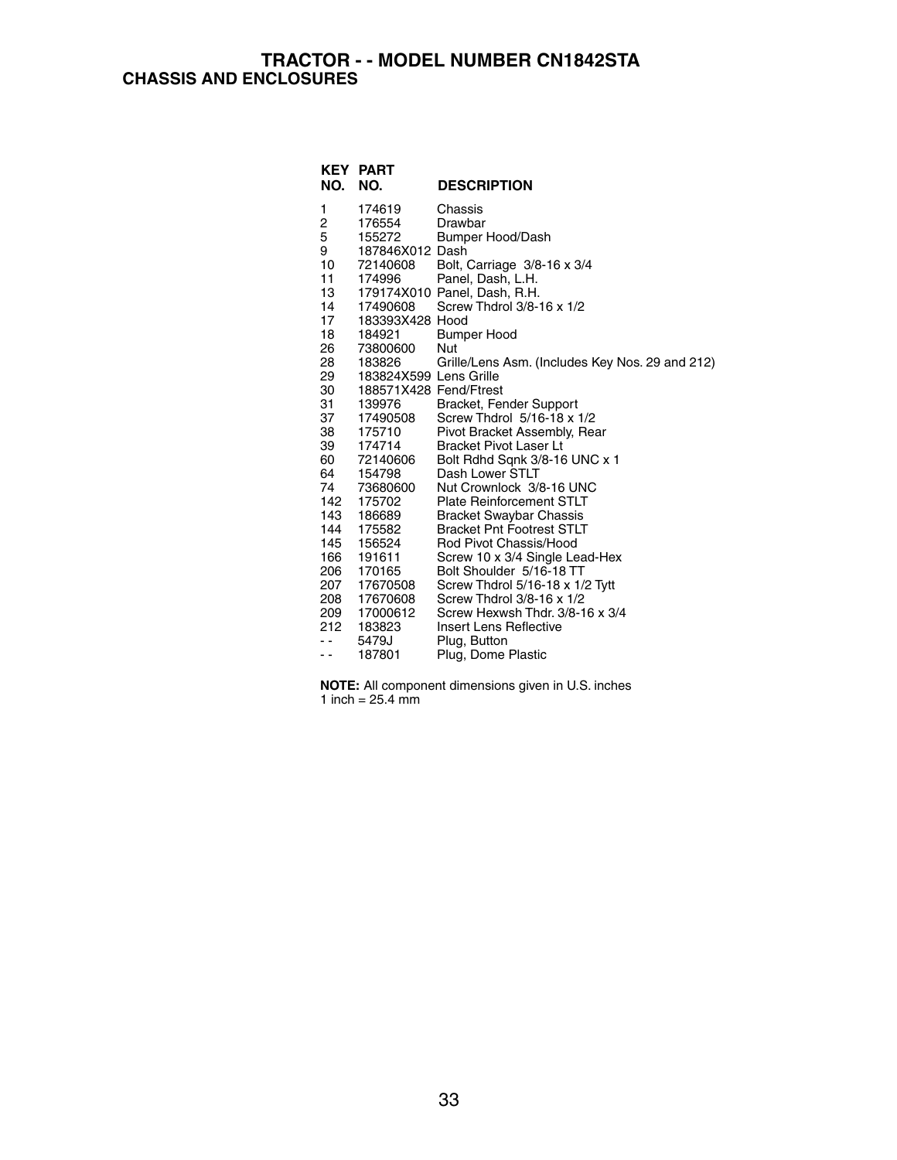#### **TRACTOR - - MODEL NUMBER CN1842STA CHASSIS AND ENCLOSURES**

| KEY<br>NO. | <b>PART</b><br>NO.     | <b>DESCRIPTION</b>                               |
|------------|------------------------|--------------------------------------------------|
| 1          | 174619                 | Chassis                                          |
| 2          | 176554                 | Drawbar                                          |
| 5          | 155272                 | Bumper Hood/Dash                                 |
| 9          | 187846X012 Dash        |                                                  |
| 10         | 72140608               | Bolt, Carriage 3/8-16 x 3/4                      |
| 11         | 174996                 | Panel, Dash, L.H.                                |
| 13         |                        | 179174X010 Panel, Dash, R.H.                     |
| 14         | 17490608               | Screw Thdrol 3/8-16 x 1/2                        |
| 17         | 183393X428 Hood        |                                                  |
| 18         | 184921                 | Bumper Hood                                      |
| 26         | 73800600               | Nut                                              |
| 28         | 183826                 | Grille/Lens Asm. (Includes Key Nos. 29 and 212)  |
| 29         | 183824X599 Lens Grille |                                                  |
| 30         | 188571X428 Fend/Ftrest |                                                  |
| 31         | 139976                 | Bracket, Fender Support                          |
| 37         | 17490508               | Screw Thdrol 5/16-18 x 1/2                       |
| 38         | 175710                 | Pivot Bracket Assembly, Rear                     |
| 39         | 174714                 | <b>Bracket Pivot Laser Lt</b>                    |
| 60 —<br>64 | 72140606<br>154798     | Bolt Rdhd Sqnk 3/8-16 UNC x 1<br>Dash Lower STLT |
| 74         | 73680600               | Nut Crownlock 3/8-16 UNC                         |
| 142        | 175702                 | <b>Plate Reinforcement STLT</b>                  |
| 143        | 186689                 | <b>Bracket Swaybar Chassis</b>                   |
| 144        | 175582                 | <b>Bracket Pnt Footrest STLT</b>                 |
| 145        | 156524                 | Rod Pivot Chassis/Hood                           |
| 166        | 191611                 | Screw 10 x 3/4 Single Lead-Hex                   |
| 206        | 170165                 | Bolt Shoulder 5/16-18 TT                         |
| 207        | 17670508               | Screw Thdrol 5/16-18 x 1/2 Tytt                  |
| 208        | 17670608               | Screw Thdrol 3/8-16 x 1/2                        |
| 209        | 17000612               | Screw Hexwsh Thdr, 3/8-16 x 3/4                  |
| 212        | 183823                 | Insert Lens Reflective                           |
| . .        | 5479J                  | Plug, Button                                     |
| . .        | 187801                 | Plug, Dome Plastic                               |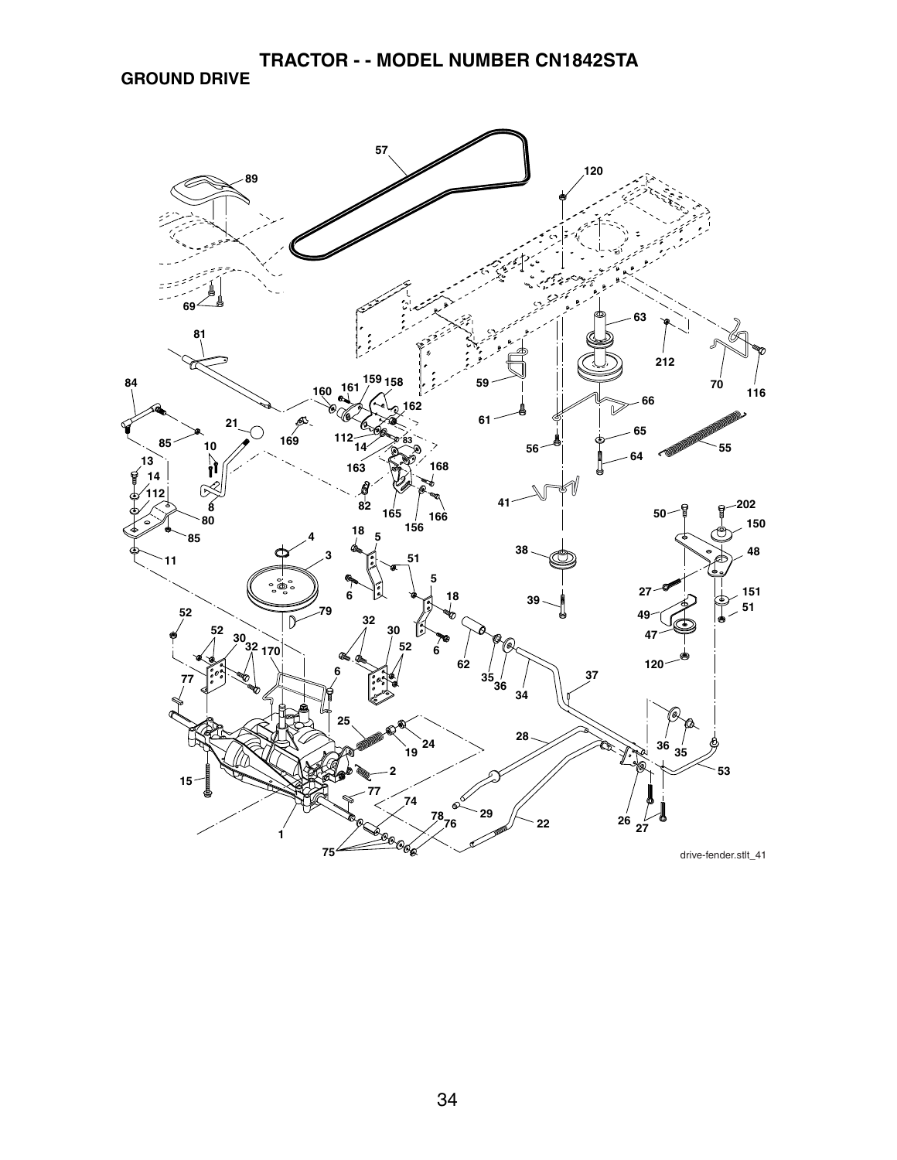### **GROUND DRIVE**

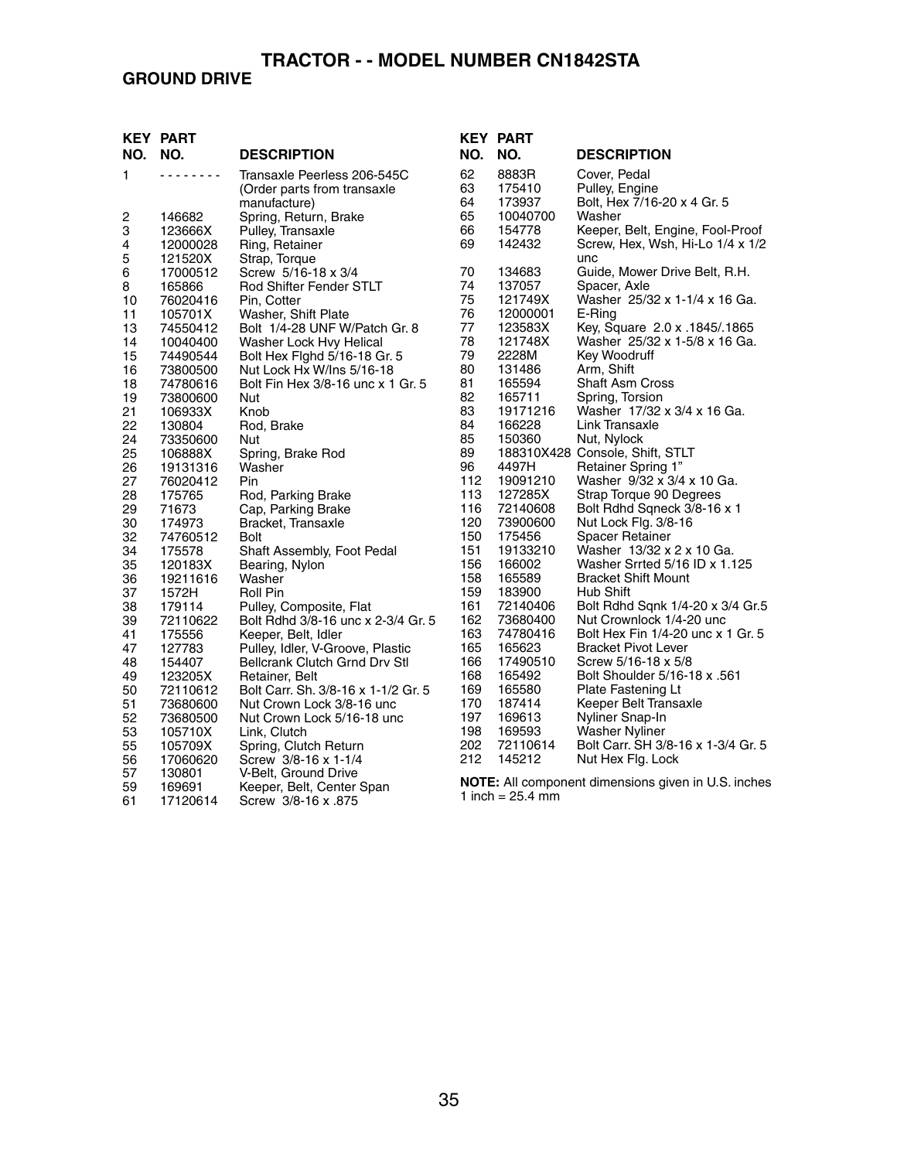## **GROUND DRIVE**

|               | <b>KEY PART</b>      |                                     |          | <b>KEY PART</b>    |                                                              |
|---------------|----------------------|-------------------------------------|----------|--------------------|--------------------------------------------------------------|
| NO.           | NO.                  | <b>DESCRIPTION</b>                  | NO.      | NO.                | <b>DESCRIPTION</b>                                           |
| 1             | .                    | Transaxle Peerless 206-545C         | 62       | 8883R              | Cover, Pedal                                                 |
|               |                      | (Order parts from transaxle         | 63       | 175410             | Pulley, Engine                                               |
|               |                      | manufacture)                        | 64       | 173937             | Bolt, Hex 7/16-20 x 4 Gr. 5                                  |
| $\frac{2}{3}$ | 146682               | Spring, Return, Brake               | 65       | 10040700           | Washer                                                       |
|               | 123666X              | Pulley, Transaxle                   | 66       | 154778             | Keeper, Belt, Engine, Fool-Proof                             |
| 4             | 12000028             | Ring, Retainer                      | 69       | 142432             | Screw, Hex, Wsh, Hi-Lo 1/4 x 1/2                             |
| 5             | 121520X              | Strap, Torque                       |          |                    | unc                                                          |
| 6             | 17000512             | Screw 5/16-18 x 3/4                 | 70       | 134683             | Guide, Mower Drive Belt, R.H.                                |
| 8             | 165866               | Rod Shifter Fender STLT             | 74       | 137057             | Spacer, Axle                                                 |
| 10            | 76020416             | Pin, Cotter                         | 75       | 121749X            | Washer 25/32 x 1-1/4 x 16 Ga.                                |
| 11            | 105701X              | Washer, Shift Plate                 | 76       | 12000001           | E-Ring                                                       |
| 13            | 74550412             | Bolt 1/4-28 UNF W/Patch Gr. 8       | 77       | 123583X            | Key, Square 2.0 x .1845/.1865                                |
| 14            | 10040400             | Washer Lock Hvy Helical             | 78       | 121748X            | Washer 25/32 x 1-5/8 x 16 Ga.                                |
| 15            | 74490544             | Bolt Hex Fighd 5/16-18 Gr. 5        | 79       | 2228M              | Key Woodruff                                                 |
| 16            | 73800500             | Nut Lock Hx W/Ins 5/16-18           | 80       | 131486             | Arm, Shift                                                   |
| 18            | 74780616             | Bolt Fin Hex 3/8-16 unc x 1 Gr. 5   | 81       | 165594             | Shaft Asm Cross                                              |
| 19            | 73800600             | Nut                                 | 82       | 165711             | Spring, Torsion                                              |
| 21            | 106933X              | Knob                                | 83       | 19171216           | Washer 17/32 x 3/4 x 16 Ga.                                  |
| 22<br>24      | 130804               | Rod, Brake                          | 84<br>85 | 166228<br>150360   | Link Transaxle                                               |
| 25            | 73350600             | Nut                                 | 89       |                    | Nut, Nylock                                                  |
| 26            | 106888X              | Spring, Brake Rod<br>Washer         | 96       | 4497H              | 188310X428 Console, Shift, STLT<br><b>Retainer Spring 1"</b> |
| 27            | 19131316<br>76020412 | Pin                                 | 112      | 19091210           | Washer 9/32 x 3/4 x 10 Ga.                                   |
| 28            | 175765               | Rod, Parking Brake                  | 113      | 127285X            | Strap Torque 90 Degrees                                      |
| 29            | 71673                | Cap, Parking Brake                  | 116      | 72140608           | Bolt Rdhd Sqneck 3/8-16 x 1                                  |
| 30            | 174973               | Bracket, Transaxle                  | 120      | 73900600           | Nut Lock Flg. 3/8-16                                         |
| 32            | 74760512             | <b>Bolt</b>                         | 150      | 175456             | <b>Spacer Retainer</b>                                       |
| 34            | 175578               | Shaft Assembly, Foot Pedal          | 151      | 19133210           | Washer 13/32 x 2 x 10 Ga.                                    |
| 35            | 120183X              | Bearing, Nylon                      | 156      | 166002             | Washer Srrted 5/16 ID x 1.125                                |
| 36            | 19211616             | Washer                              | 158      | 165589             | <b>Bracket Shift Mount</b>                                   |
| 37            | 1572H                | Roll Pin                            | 159      | 183900             | Hub Shift                                                    |
| 38            | 179114               | Pulley, Composite, Flat             | 161      | 72140406           | Bolt Rdhd Sqnk 1/4-20 x 3/4 Gr.5                             |
| 39            | 72110622             | Bolt Rdhd 3/8-16 unc x 2-3/4 Gr. 5  | 162      | 73680400           | Nut Crownlock 1/4-20 unc                                     |
| 41            | 175556               | Keeper, Belt, Idler                 | 163      | 74780416           | Bolt Hex Fin 1/4-20 unc x 1 Gr. 5                            |
| 47            | 127783               | Pulley, Idler, V-Groove, Plastic    | 165      | 165623             | <b>Bracket Pivot Lever</b>                                   |
| 48            | 154407               | Bellcrank Clutch Grnd Drv Stl       | 166      | 17490510           | Screw 5/16-18 x 5/8                                          |
| 49            | 123205X              | Retainer, Belt                      | 168      | 165492             | Bolt Shoulder 5/16-18 x .561                                 |
| 50            | 72110612             | Bolt Carr. Sh. 3/8-16 x 1-1/2 Gr. 5 | 169      | 165580             | Plate Fastening Lt                                           |
| 51            | 73680600             | Nut Crown Lock 3/8-16 unc           | 170      | 187414             | Keeper Belt Transaxle                                        |
| 52            | 73680500             | Nut Crown Lock 5/16-18 unc          | 197      | 169613             | Nyliner Snap-In                                              |
| 53            | 105710X              | Link, Clutch                        | 198      | 169593             | <b>Washer Nyliner</b>                                        |
| 55            | 105709X              | Spring, Clutch Return               | 202      | 72110614           | Bolt Carr. SH 3/8-16 x 1-3/4 Gr. 5                           |
| 56            | 17060620             | Screw 3/8-16 x 1-1/4                | 212      | 145212             | Nut Hex Flg. Lock                                            |
| 57            | 130801               | V-Belt, Ground Drive                |          |                    |                                                              |
| 59            | 169691               | Keeper, Belt, Center Span           |          | 1 inch = $25.4$ mm | <b>NOTE:</b> All component dimensions given in U.S. inches   |
| 61            | 17120614             | Screw 3/8-16 x .875                 |          |                    |                                                              |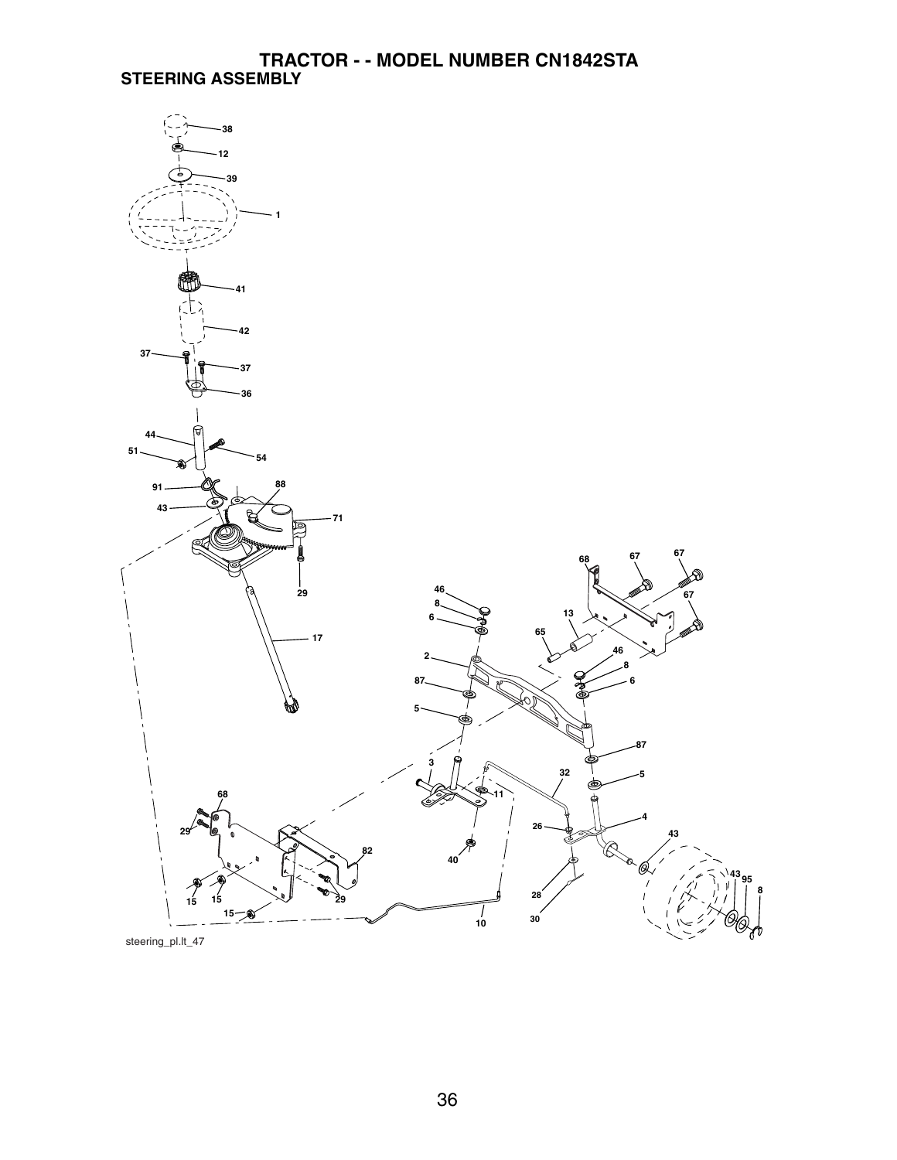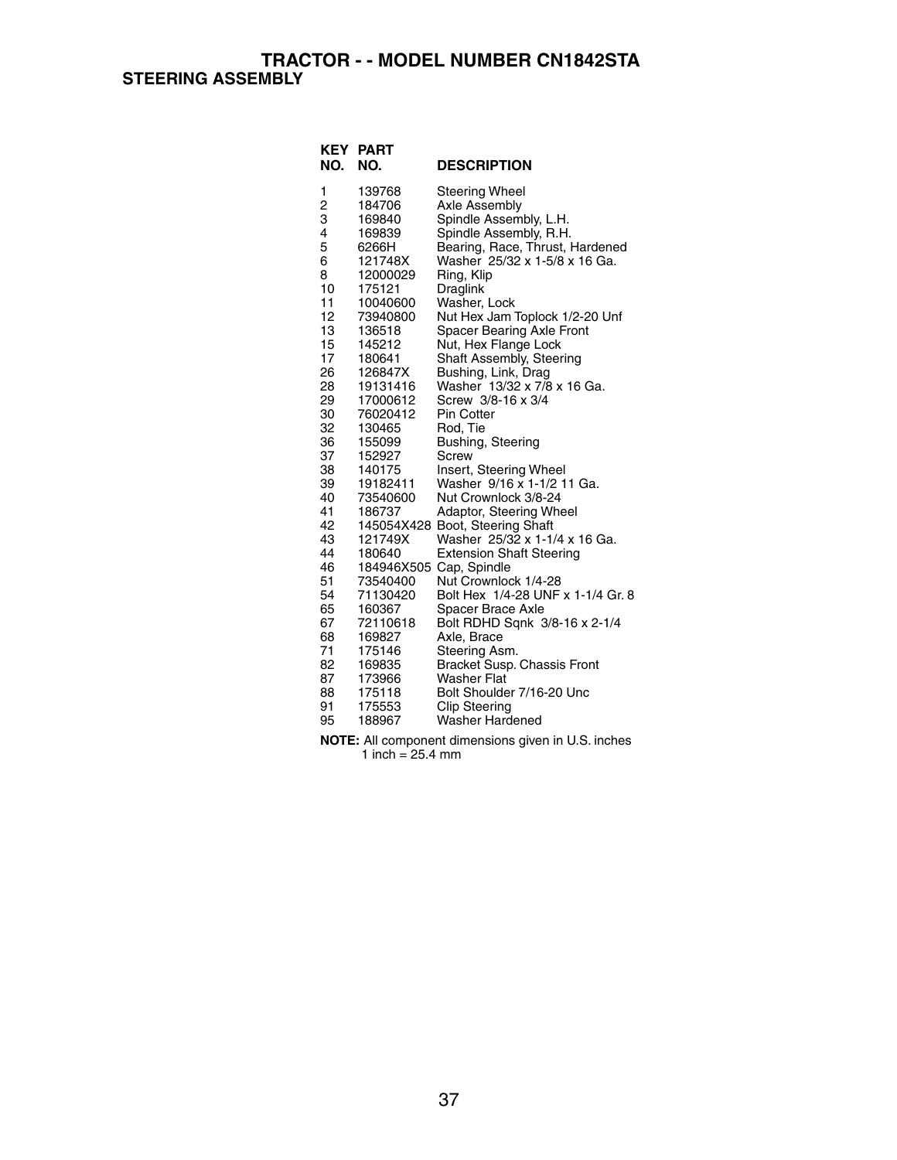| NO.                                                                                                                                                                                                                                          | <b>KEY PART</b><br>NO.                                                                                                                                                                                                                                                                                                                                                                                 | <b>DESCRIPTION</b>                                                                                                                                                                                                                                                                                                                                                                                                                                                                                                                                                                                                                                                                                                                                                                                                                                                                                                                                                                                  |
|----------------------------------------------------------------------------------------------------------------------------------------------------------------------------------------------------------------------------------------------|--------------------------------------------------------------------------------------------------------------------------------------------------------------------------------------------------------------------------------------------------------------------------------------------------------------------------------------------------------------------------------------------------------|-----------------------------------------------------------------------------------------------------------------------------------------------------------------------------------------------------------------------------------------------------------------------------------------------------------------------------------------------------------------------------------------------------------------------------------------------------------------------------------------------------------------------------------------------------------------------------------------------------------------------------------------------------------------------------------------------------------------------------------------------------------------------------------------------------------------------------------------------------------------------------------------------------------------------------------------------------------------------------------------------------|
| 1<br>$\overline{c}$<br>3<br>4<br>5<br>6<br>8<br>10<br>11<br>12<br>13<br>15<br>17<br>26<br>28<br>29<br>30<br>32<br>36<br>37<br>38<br>39<br>40<br>41<br>42<br>43<br>44<br>46<br>51<br>54<br>65<br>67<br>68<br>71<br>82<br>87<br>88<br>91<br>95 | 139768<br>184706<br>169840<br>169839<br>6266H<br>121748X<br>12000029<br>175121<br>10040600<br>73940800<br>136518<br>145212<br>180641<br>126847X<br>19131416<br>17000612<br>76020412<br>130465<br>155099<br>152927<br>140175<br>19182411<br>73540600<br>186737<br>121749X<br>180640<br>73540400<br>71130420<br>160367<br>72110618<br>169827<br>175146<br>169835<br>173966<br>175118<br>175553<br>188967 | Steering Wheel<br>Axle Assembly<br>Spindle Assembly, L.H.<br>Spindle Assembly, R.H.<br>Bearing, Race, Thrust, Hardened<br>Washer 25/32 x 1-5/8 x 16 Ga.<br>Ring, Klip<br>Draglink<br>Washer, Lock<br>Nut Hex Jam Toplock 1/2-20 Unf<br>Spacer Bearing Axle Front<br>Nut, Hex Flange Lock<br>Shaft Assembly, Steering<br>Bushing, Link, Drag<br>Washer 13/32 x 7/8 x 16 Ga.<br>Screw 3/8-16 x 3/4<br>Pin Cotter<br>Rod, Tie<br>Bushing, Steering<br>Screw<br>Insert, Steering Wheel<br>Washer 9/16 x 1-1/2 11 Ga.<br>Nut Crownlock 3/8-24<br>Adaptor, Steering Wheel<br>145054X428 Boot, Steering Shaft<br>Washer 25/32 x 1-1/4 x 16 Ga.<br><b>Extension Shaft Steering</b><br>184946X505 Cap, Spindle<br>Nut Crownlock 1/4-28<br>Bolt Hex 1/4-28 UNF x 1-1/4 Gr. 8<br>Spacer Brace Axle<br>Bolt RDHD Sqnk 3/8-16 x 2-1/4<br>Axle, Brace<br>Steering Asm.<br><b>Bracket Susp. Chassis Front</b><br><b>Washer Flat</b><br>Bolt Shoulder 7/16-20 Unc<br><b>Clip Steering</b><br><b>Washer Hardened</b> |
|                                                                                                                                                                                                                                              |                                                                                                                                                                                                                                                                                                                                                                                                        |                                                                                                                                                                                                                                                                                                                                                                                                                                                                                                                                                                                                                                                                                                                                                                                                                                                                                                                                                                                                     |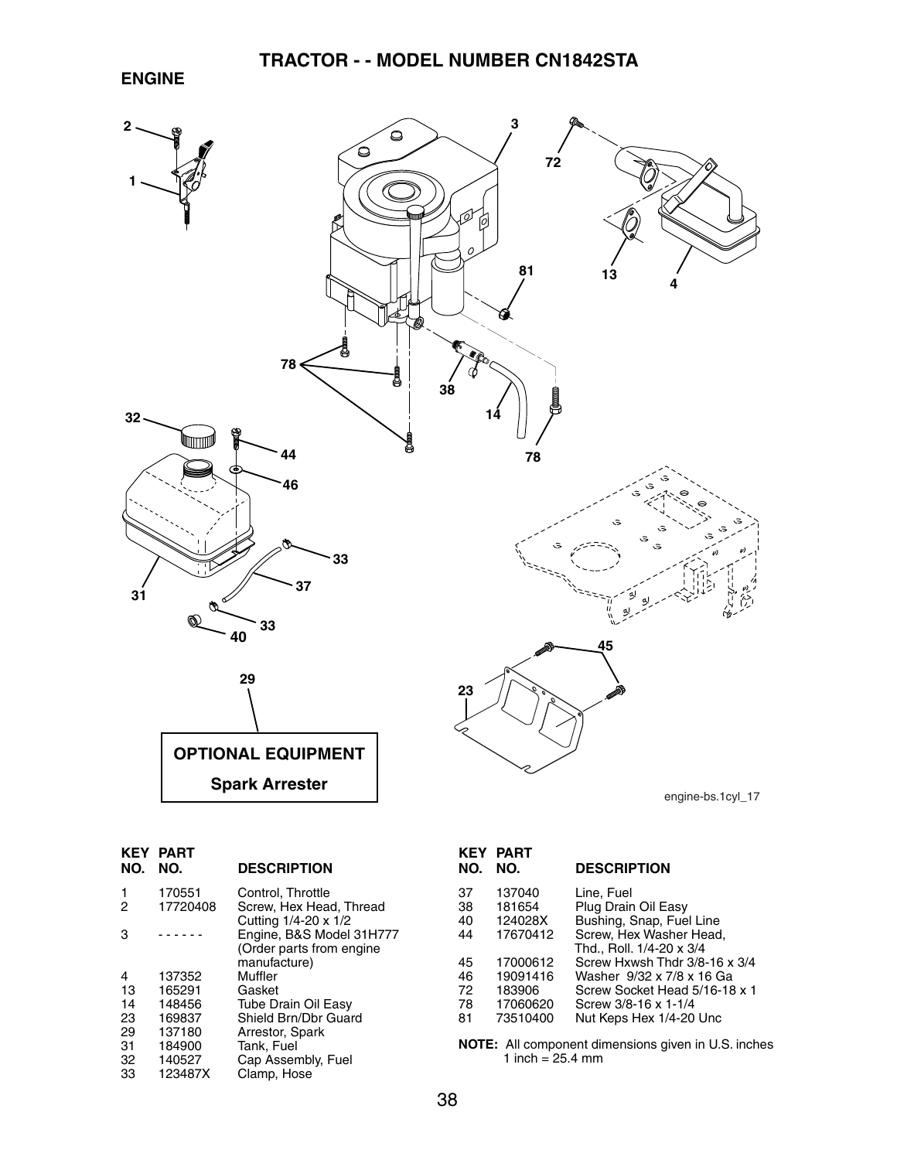#### **ENGINE**



| NO.    | <b>KEY PART</b><br>NO. | <b>DESCRIPTION</b>                                                   |
|--------|------------------------|----------------------------------------------------------------------|
| 1<br>2 | 170551<br>17720408     | Control, Throttle<br>Screw. Hex Head. Thread<br>Cutting 1/4-20 x 1/2 |
| з      |                        | Engine, B&S Model 31H777<br>(Order parts from engine<br>manufacture) |
| 4      | 137352                 | Muffler                                                              |
| 13     | 165291                 | Gasket                                                               |
| 14     | 148456                 | <b>Tube Drain Oil Easy</b>                                           |
| 23     | 169837                 | Shield Brn/Dbr Guard                                                 |
| 29     | 137180                 | Arrestor, Spark                                                      |
| 31     | 184900                 | Tank, Fuel                                                           |
| 32     | 140527                 | Cap Assembly, Fuel                                                   |
| 33     | 123487X                | Clamp, Hose                                                          |

| NO.      | <b>KEY PART</b><br>NO. | <b>DESCRIPTION</b>                |
|----------|------------------------|-----------------------------------|
| 37<br>38 | 137040<br>181654       | Line. Fuel<br>Plug Drain Oil Easy |
| 40       | 124028X                | Bushing, Snap, Fuel Line          |
| 44       | 17670412               | Screw, Hex Washer Head,           |
|          |                        | Thd., Roll. 1/4-20 x 3/4          |
| 45       | 17000612               | Screw Hxwsh Thdr 3/8-16 x 3/4     |
| 46       | 19091416               | Washer 9/32 x 7/8 x 16 Ga         |
| 72       | 183906                 | Screw Socket Head 5/16-18 x 1     |
| 78       | 17060620               | Screw 3/8-16 x 1-1/4              |
| 81       | 73510400               | Nut Keps Hex 1/4-20 Unc           |
|          |                        |                                   |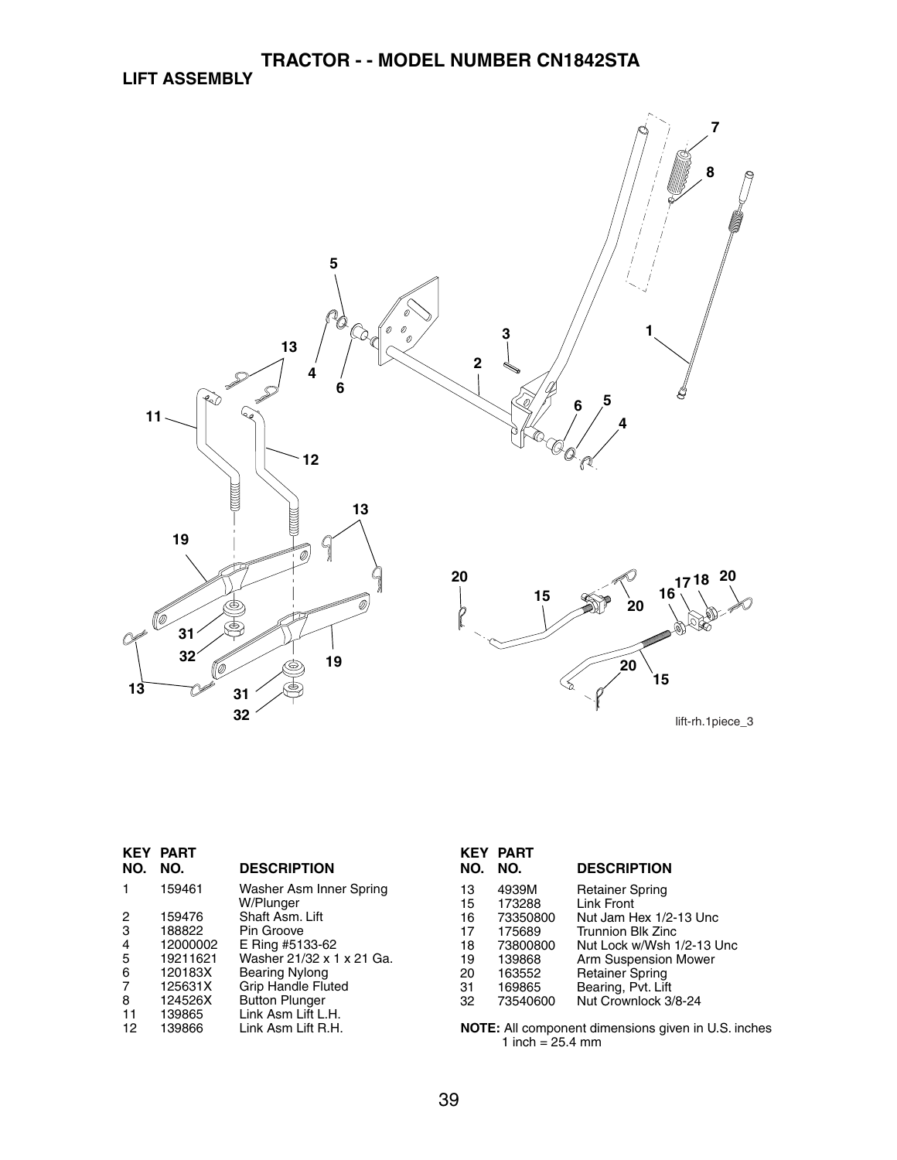

|                | <b>KEY PART</b> |                                      |
|----------------|-----------------|--------------------------------------|
| NO.            | NO.             | <b>DESCRIPTION</b>                   |
|                | 159461          | Washer Asm Inner Spring<br>W/Plunger |
| 2              | 159476          | Shaft Asm. Lift                      |
| 3              | 188822          | Pin Groove                           |
| $\overline{4}$ | 12000002        | E Ring #5133-62                      |
| 5              | 19211621        | Washer 21/32 x 1 x 21 Ga.            |
| 6              | 120183X         | Bearing Nylong                       |
| 7              | 125631X         | <b>Grip Handle Fluted</b>            |
| 8              | 124526X         | <b>Button Plunger</b>                |
| 11             | 139865          | Link Asm Lift L.H.                   |
| 12             | 139866          | Link Asm Lift R.H.                   |

| NO. | <b>KEY PART</b><br>NO. | <b>DESCRIPTION</b>        |
|-----|------------------------|---------------------------|
| 13  | 4939M                  | Retainer Spring           |
| 15  | 173288                 | <b>Link Front</b>         |
| 16  | 73350800               | Nut Jam Hex 1/2-13 Unc    |
| 17  | 175689                 | Trunnion Blk Zinc         |
| 18  | 73800800               | Nut Lock w/Wsh 1/2-13 Unc |
| 19  | 139868                 | Arm Suspension Mower      |
| 20  | 163552                 | <b>Retainer Spring</b>    |
| 31  | 169865                 | Bearing, Pvt. Lift        |
| 32  | 73540600               | Nut Crownlock 3/8-24      |
|     |                        |                           |

**7**

**8**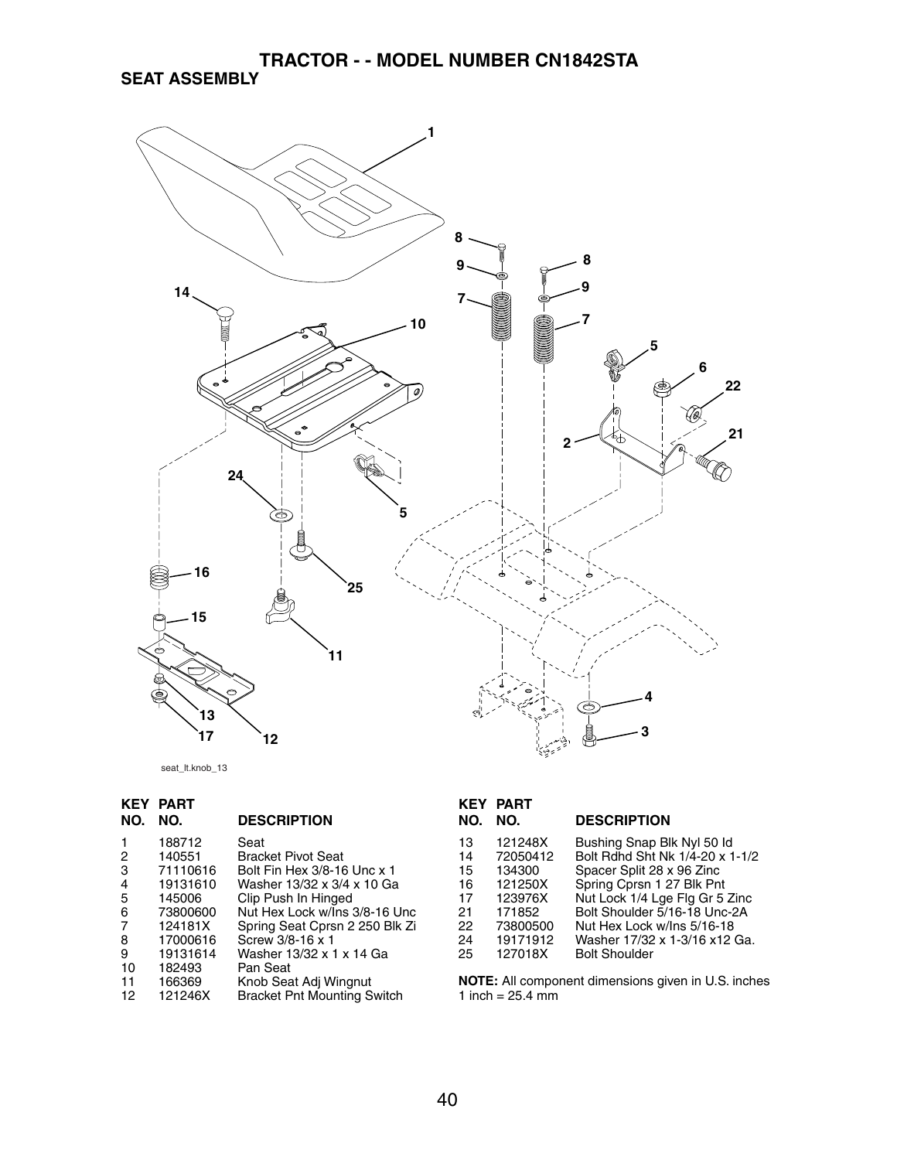**TRACTOR - - MODEL NUMBER CN1842STA SEAT ASSEMBLY**



seat\_lt.knob\_13

|     | <b>KEY PART</b> |                                    |                | <b>KEY PART</b>            |                                                           |
|-----|-----------------|------------------------------------|----------------|----------------------------|-----------------------------------------------------------|
| NO. | NO.             | <b>DESCRIPTION</b>                 | <b>NO. NO.</b> |                            | <b>DESCRIPTION</b>                                        |
|     | 188712          | Seat                               | 13             | 121248X                    | Bushing Snap Blk Nyl 50 ld                                |
| 2   | 140551          | <b>Bracket Pivot Seat</b>          | 14             | 72050412                   | Bolt Rdhd Sht Nk 1/4-20 x 1-1/2                           |
| 3   | 71110616        | Bolt Fin Hex 3/8-16 Unc x 1        | 15             | 134300                     | Spacer Split 28 x 96 Zinc                                 |
| 4   | 19131610        | Washer 13/32 x 3/4 x 10 Ga         | 16             | 121250X                    | Spring Cprsn 1 27 Blk Pnt                                 |
| 5   | 145006          | Clip Push In Hinged                | 17             | 123976X                    | Nut Lock 1/4 Lge Flg Gr 5 Zinc                            |
| 6   | 73800600        | Nut Hex Lock w/Ins 3/8-16 Unc      | 21             | 171852                     | Bolt Shoulder 5/16-18 Unc-2A                              |
|     | 124181X         | Spring Seat Cprsn 2 250 Blk Zi     | 22             | 73800500                   | Nut Hex Lock w/lns 5/16-18                                |
| 8   | 17000616        | Screw 3/8-16 x 1                   | 24             | 19171912                   | Washer 17/32 x 1-3/16 x12 Ga.                             |
| 9   | 19131614        | Washer 13/32 x 1 x 14 Ga           | 25             | 127018X                    | <b>Bolt Shoulder</b>                                      |
| 10  | 182493          | Pan Seat                           |                |                            |                                                           |
| 11  | 166369          | Knob Seat Adj Wingnut              |                |                            | <b>NOTE:</b> All component dimensions given in U.S. inche |
| 12  | 121246X         | <b>Bracket Pnt Mounting Switch</b> |                | 1 inch = $25.4 \text{ mm}$ |                                                           |
|     |                 |                                    |                |                            |                                                           |

- 22 73800500 Nut Hex Lock w/Ins 5/16-18 er 17/32 x 1-3/16 x12 Ga.
	- houlder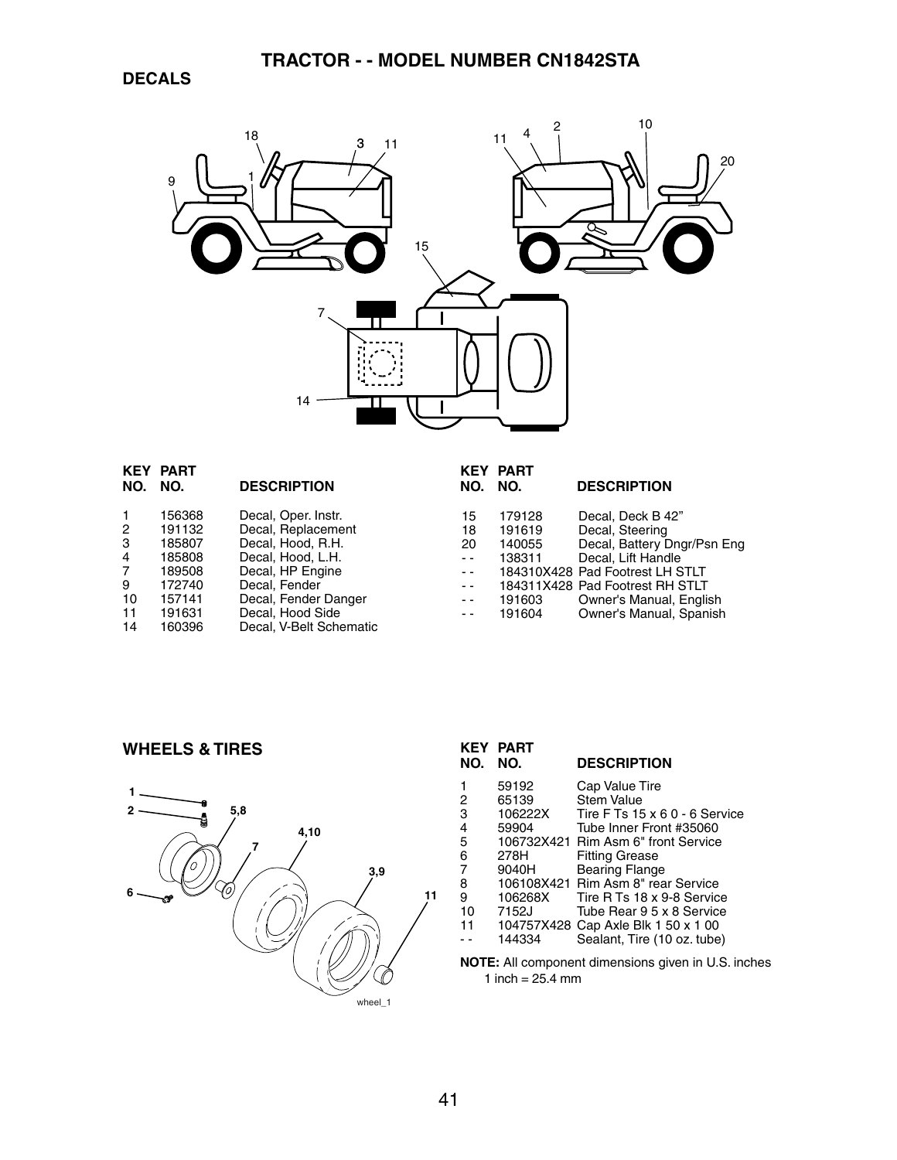

|                | <b>KEY PART</b> |                         |      | <b>KEY PART</b> |                                 |
|----------------|-----------------|-------------------------|------|-----------------|---------------------------------|
| NO.            | NO.             | <b>DESCRIPTION</b>      | NO.  | NO.             | <b>DESCRIPTION</b>              |
|                | 156368          | Decal, Oper. Instr.     | 15   | 179128          | Decal, Deck B 42"               |
| 2              | 191132          | Decal, Replacement      | 18   | 191619          | Decal, Steering                 |
| 3              | 185807          | Decal, Hood, R.H.       | 20   | 140055          | Decal, Battery Dngr/Psn Eng     |
| $\overline{4}$ | 185808          | Decal, Hood, L.H.       | $ -$ | 138311          | Decal. Lift Handle              |
| 7              | 189508          | Decal, HP Engine        | $ -$ |                 | 184310X428 Pad Footrest LH STLT |
| 9              | 172740          | Decal, Fender           | $ -$ |                 | 184311X428 Pad Footrest RH STLT |
| 10             | 157141          | Decal, Fender Danger    | $ -$ | 191603          | Owner's Manual, English         |
| 11             | 191631          | Decal, Hood Side        | $ -$ | 191604          | Owner's Manual, Spanish         |
| 14             | 160396          | Decal, V-Belt Schematic |      |                 |                                 |

#### **WHEELS & TIRES**



| <b>KEY</b><br>NO. | <b>PART</b><br>NO. | <b>DESCRIPTION</b>                  |
|-------------------|--------------------|-------------------------------------|
|                   | 59192              | Cap Value Tire                      |
| 2                 | 65139              | <b>Stem Value</b>                   |
| 3                 | 106222X            | Tire F Ts 15 x 6 0 - 6 Service      |
| 4                 | 59904              | Tube Inner Front #35060             |
| 5                 |                    | 106732X421 Rim Asm 6" front Service |
| 6                 | 278H               | <b>Fitting Grease</b>               |
| $\overline{7}$    | 9040H              | <b>Bearing Flange</b>               |
| 8                 |                    | 106108X421 Rim Asm 8" rear Service  |
| 9                 | 106268X            | Tire R Ts 18 x 9-8 Service          |
| 10                | 7152J              | Tube Bear 9.5 x 8 Service           |
| 11                |                    | 104757X428 Cap Axle Blk 1 50 x 1 00 |
|                   | 144334             | Sealant, Tire (10 oz. tube)         |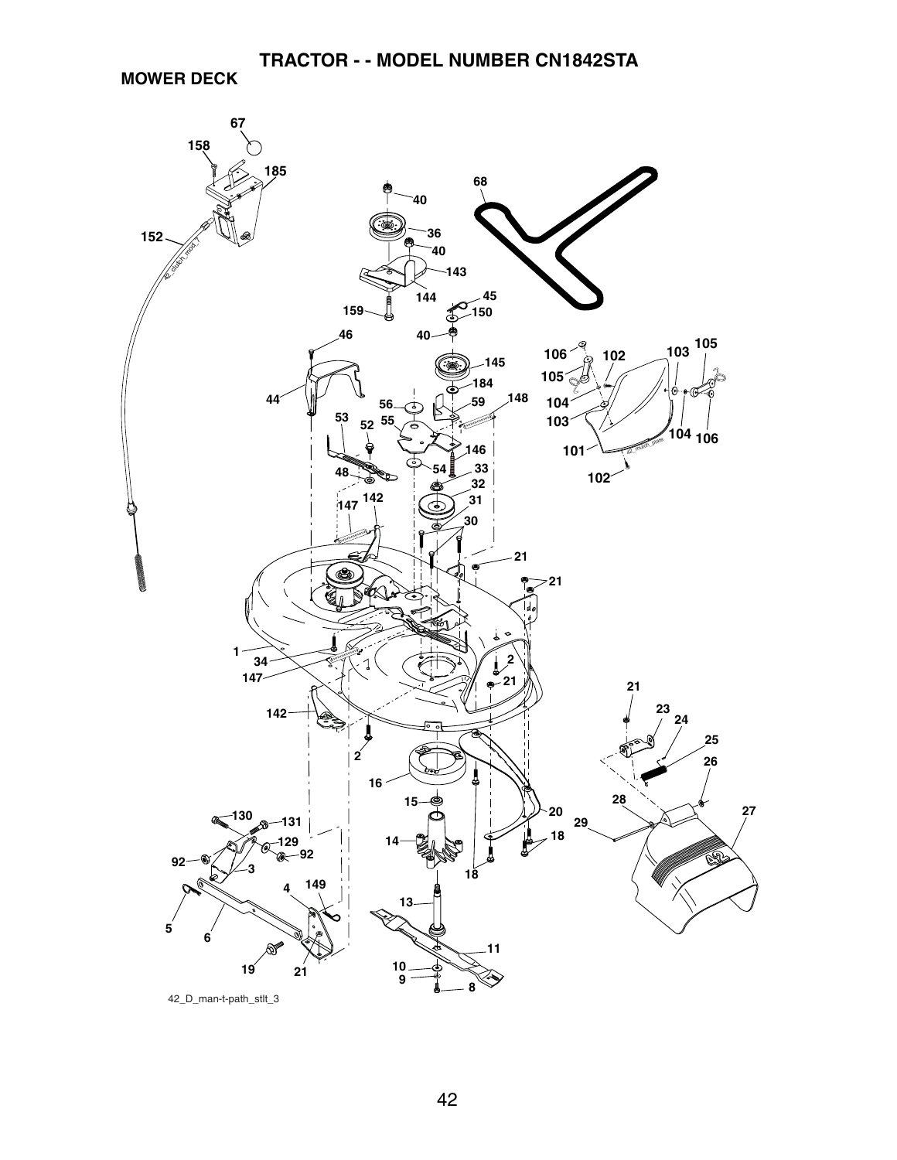**MOWER DECK**